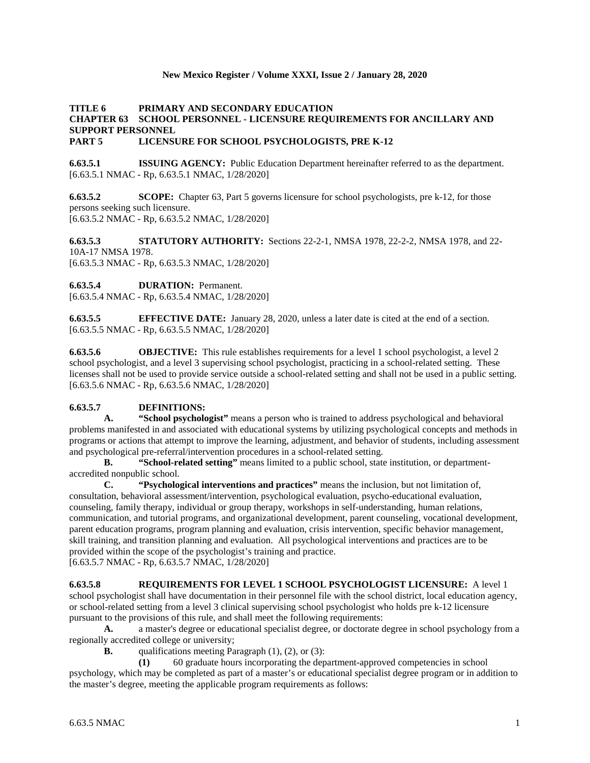## **New Mexico Register / Volume XXXI, Issue 2 / January 28, 2020**

## **TITLE 6 PRIMARY AND SECONDARY EDUCATION CHAPTER 63 SCHOOL PERSONNEL - LICENSURE REQUIREMENTS FOR ANCILLARY AND SUPPORT PERSONNEL PART 5 LICENSURE FOR SCHOOL PSYCHOLOGISTS, PRE K-12**

**6.63.5.1 ISSUING AGENCY:** Public Education Department hereinafter referred to as the department. [6.63.5.1 NMAC - Rp, 6.63.5.1 NMAC, 1/28/2020]

**6.63.5.2 SCOPE:** Chapter 63, Part 5 governs licensure for school psychologists, pre k-12, for those persons seeking such licensure. [6.63.5.2 NMAC - Rp, 6.63.5.2 NMAC, 1/28/2020]

**6.63.5.3 STATUTORY AUTHORITY:** Sections 22-2-1, NMSA 1978, 22-2-2, NMSA 1978, and 22- 10A-17 NMSA 1978. [6.63.5.3 NMAC - Rp, 6.63.5.3 NMAC, 1/28/2020]

**6.63.5.4 DURATION:** Permanent.

[6.63.5.4 NMAC - Rp, 6.63.5.4 NMAC, 1/28/2020]

**6.63.5.5 EFFECTIVE DATE:** January 28, 2020, unless a later date is cited at the end of a section. [6.63.5.5 NMAC - Rp, 6.63.5.5 NMAC, 1/28/2020]

**6.63.5.6 OBJECTIVE:** This rule establishes requirements for a level 1 school psychologist, a level 2 school psychologist, and a level 3 supervising school psychologist, practicing in a school-related setting. These licenses shall not be used to provide service outside a school-related setting and shall not be used in a public setting. [6.63.5.6 NMAC - Rp, 6.63.5.6 NMAC, 1/28/2020]

## **6.63.5.7 DEFINITIONS:**

**A. "School psychologist"** means a person who is trained to address psychological and behavioral problems manifested in and associated with educational systems by utilizing psychological concepts and methods in programs or actions that attempt to improve the learning, adjustment, and behavior of students, including assessment and psychological pre-referral/intervention procedures in a school-related setting.

**B. "School-related setting"** means limited to a public school, state institution, or departmentaccredited nonpublic school.

**C. "Psychological interventions and practices"** means the inclusion, but not limitation of, consultation, behavioral assessment/intervention, psychological evaluation, psycho-educational evaluation, counseling, family therapy, individual or group therapy, workshops in self-understanding, human relations, communication, and tutorial programs, and organizational development, parent counseling, vocational development, parent education programs, program planning and evaluation, crisis intervention, specific behavior management, skill training, and transition planning and evaluation. All psychological interventions and practices are to be provided within the scope of the psychologist's training and practice.

[6.63.5.7 NMAC - Rp, 6.63.5.7 NMAC, 1/28/2020]

#### **6.63.5.8 REQUIREMENTS FOR LEVEL 1 SCHOOL PSYCHOLOGIST LICENSURE:** A level 1 school psychologist shall have documentation in their personnel file with the school district, local education agency,

or school-related setting from a level 3 clinical supervising school psychologist who holds pre k-12 licensure pursuant to the provisions of this rule, and shall meet the following requirements:

**A.** a master's degree or educational specialist degree, or doctorate degree in school psychology from a regionally accredited college or university;

**B.** qualifications meeting Paragraph (1), (2), or (3):

**(1)** 60 graduate hours incorporating the department-approved competencies in school psychology, which may be completed as part of a master's or educational specialist degree program or in addition to the master's degree, meeting the applicable program requirements as follows: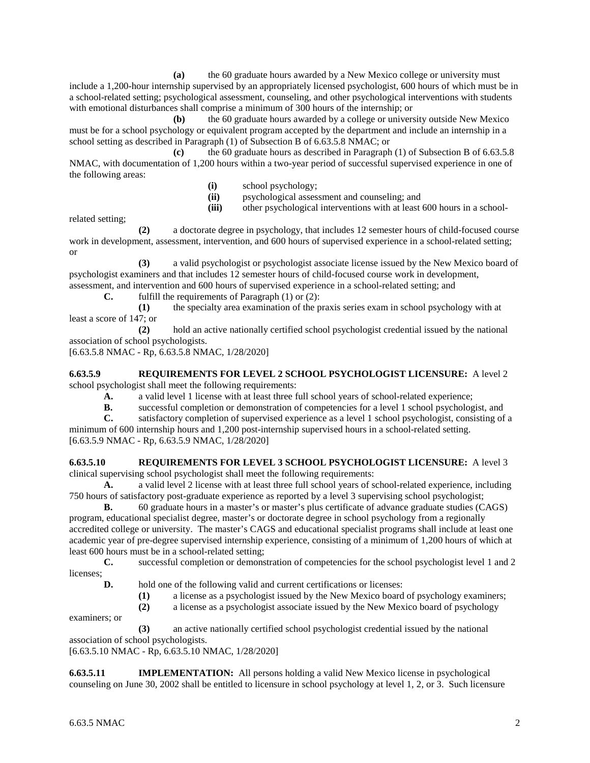**(a)** the 60 graduate hours awarded by a New Mexico college or university must include a 1,200-hour internship supervised by an appropriately licensed psychologist, 600 hours of which must be in a school-related setting; psychological assessment, counseling, and other psychological interventions with students with emotional disturbances shall comprise a minimum of 300 hours of the internship; or

**(b)** the 60 graduate hours awarded by a college or university outside New Mexico must be for a school psychology or equivalent program accepted by the department and include an internship in a school setting as described in Paragraph (1) of Subsection B of 6.63.5.8 NMAC; or

**(c)** the 60 graduate hours as described in Paragraph (1) of Subsection B of 6.63.5.8 NMAC, with documentation of 1,200 hours within a two-year period of successful supervised experience in one of the following areas:

- **(i)** school psychology;
- **(ii)** psychological assessment and counseling; and

**(iii)** other psychological interventions with at least 600 hours in a school-

related setting;

**(2)** a doctorate degree in psychology, that includes 12 semester hours of child-focused course work in development, assessment, intervention, and 600 hours of supervised experience in a school-related setting; or

**(3)** a valid psychologist or psychologist associate license issued by the New Mexico board of psychologist examiners and that includes 12 semester hours of child-focused course work in development, assessment, and intervention and 600 hours of supervised experience in a school-related setting; and

**C.** fulfill the requirements of Paragraph (1) or (2):

**(1)** the specialty area examination of the praxis series exam in school psychology with at least a score of 147; or

**(2)** hold an active nationally certified school psychologist credential issued by the national association of school psychologists.

[6.63.5.8 NMAC - Rp, 6.63.5.8 NMAC, 1/28/2020]

**6.63.5.9 REQUIREMENTS FOR LEVEL 2 SCHOOL PSYCHOLOGIST LICENSURE:** A level 2 school psychologist shall meet the following requirements:

**A.** a valid level 1 license with at least three full school years of school-related experience;

**B.** successful completion or demonstration of competencies for a level 1 school psychologist, and satisfactory completion of supervised experience as a level 1 school psychologist, consisting of

satisfactory completion of supervised experience as a level 1 school psychologist, consisting of a minimum of 600 internship hours and 1,200 post-internship supervised hours in a school-related setting. [6.63.5.9 NMAC - Rp, 6.63.5.9 NMAC, 1/28/2020]

### **6.63.5.10 REQUIREMENTS FOR LEVEL 3 SCHOOL PSYCHOLOGIST LICENSURE:** A level 3 clinical supervising school psychologist shall meet the following requirements:

**A.** a valid level 2 license with at least three full school years of school-related experience, including 750 hours of satisfactory post-graduate experience as reported by a level 3 supervising school psychologist;

**B.** 60 graduate hours in a master's or master's plus certificate of advance graduate studies (CAGS) program, educational specialist degree, master's or doctorate degree in school psychology from a regionally accredited college or university. The master's CAGS and educational specialist programs shall include at least one academic year of pre-degree supervised internship experience, consisting of a minimum of 1,200 hours of which at least 600 hours must be in a school-related setting;

**C.** successful completion or demonstration of competencies for the school psychologist level 1 and 2 licenses;

**D.** hold one of the following valid and current certifications or licenses:

- **(1)** a license as a psychologist issued by the New Mexico board of psychology examiners;
- **(2)** a license as a psychologist associate issued by the New Mexico board of psychology
- examiners; or

**(3)** an active nationally certified school psychologist credential issued by the national association of school psychologists.

[6.63.5.10 NMAC - Rp, 6.63.5.10 NMAC, 1/28/2020]

**6.63.5.11 IMPLEMENTATION:** All persons holding a valid New Mexico license in psychological counseling on June 30, 2002 shall be entitled to licensure in school psychology at level 1, 2, or 3. Such licensure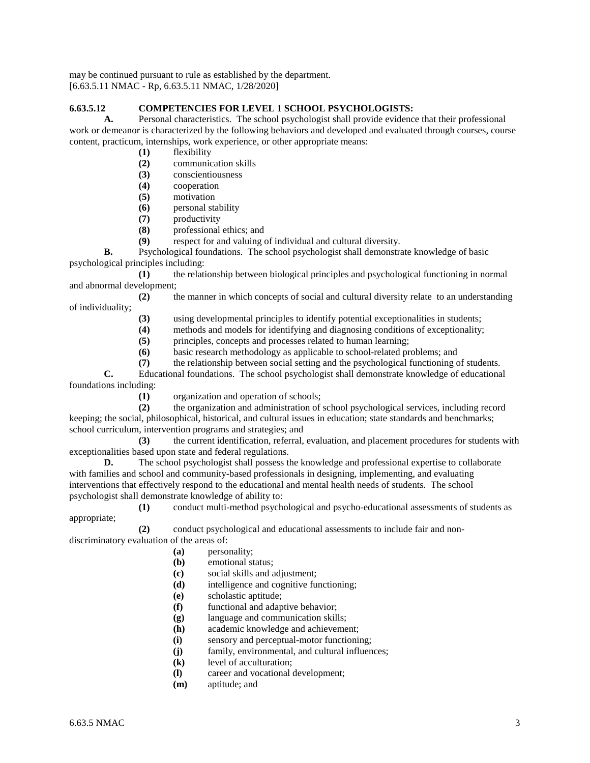may be continued pursuant to rule as established by the department. [6.63.5.11 NMAC - Rp, 6.63.5.11 NMAC, 1/28/2020]

# **6.63.5.12 COMPETENCIES FOR LEVEL 1 SCHOOL PSYCHOLOGISTS:**

**A.** Personal characteristics. The school psychologist shall provide evidence that their professional work or demeanor is characterized by the following behaviors and developed and evaluated through courses, course content, practicum, internships, work experience, or other appropriate means:

- **(1)** flexibility
- **(2)** communication skills
- **(3)** conscientiousness
- **(4)** cooperation
- **(5)** motivation
- **(6)** personal stability
- **(7)** productivity
- **(8)** professional ethics; and
- **(9)** respect for and valuing of individual and cultural diversity.

**B.** Psychological foundations. The school psychologist shall demonstrate knowledge of basic psychological principles including:

**(1)** the relationship between biological principles and psychological functioning in normal and abnormal development;

**(2)** the manner in which concepts of social and cultural diversity relate to an understanding of individuality;

- **(3)** using developmental principles to identify potential exceptionalities in students;
- **(4)** methods and models for identifying and diagnosing conditions of exceptionality;
- **(5)** principles, concepts and processes related to human learning;
- **(6)** basic research methodology as applicable to school-related problems; and
- **(7)** the relationship between social setting and the psychological functioning of students.

**C.** Educational foundations. The school psychologist shall demonstrate knowledge of educational foundations including:

**(1)** organization and operation of schools;

**(2)** the organization and administration of school psychological services, including record keeping; the social, philosophical, historical, and cultural issues in education; state standards and benchmarks; school curriculum, intervention programs and strategies; and

**(3)** the current identification, referral, evaluation, and placement procedures for students with exceptionalities based upon state and federal regulations.

**D.** The school psychologist shall possess the knowledge and professional expertise to collaborate with families and school and community-based professionals in designing, implementing, and evaluating interventions that effectively respond to the educational and mental health needs of students. The school psychologist shall demonstrate knowledge of ability to:

**(1)** conduct multi-method psychological and psycho-educational assessments of students as appropriate;

**(2)** conduct psychological and educational assessments to include fair and nondiscriminatory evaluation of the areas of:

- **(a)** personality;
- **(b)** emotional status;
- **(c)** social skills and adjustment;
- **(d)** intelligence and cognitive functioning;
- **(e)** scholastic aptitude;
- **(f)** functional and adaptive behavior;
- **(g)** language and communication skills;
- **(h)** academic knowledge and achievement;
- **(i)** sensory and perceptual-motor functioning;
- **(j)** family, environmental, and cultural influences;
- **(k)** level of acculturation;
- **(l)** career and vocational development;
- **(m)** aptitude; and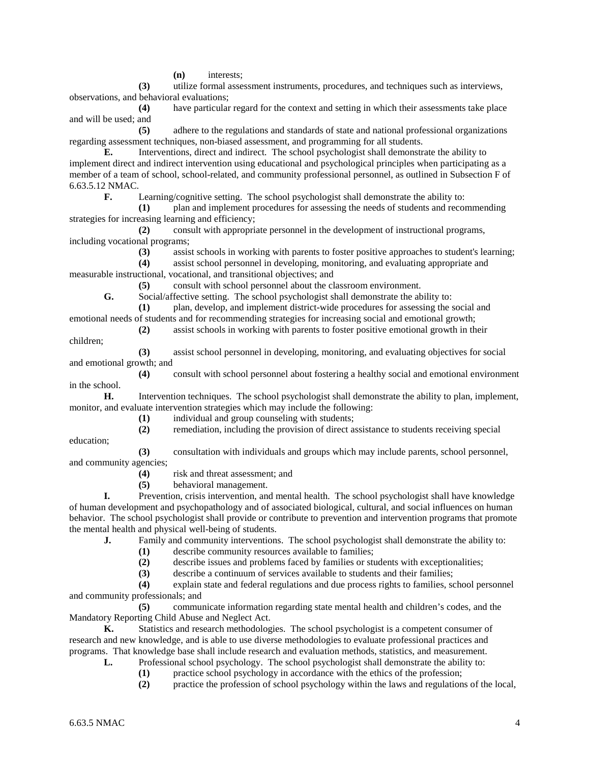**(n)** interests;

**(3)** utilize formal assessment instruments, procedures, and techniques such as interviews, observations, and behavioral evaluations;

**(4)** have particular regard for the context and setting in which their assessments take place and will be used; and

**(5)** adhere to the regulations and standards of state and national professional organizations regarding assessment techniques, non-biased assessment, and programming for all students.

**E.** Interventions, direct and indirect. The school psychologist shall demonstrate the ability to implement direct and indirect intervention using educational and psychological principles when participating as a member of a team of school, school-related, and community professional personnel, as outlined in Subsection F of 6.63.5.12 NMAC.

**F.** Learning/cognitive setting. The school psychologist shall demonstrate the ability to:

**(1)** plan and implement procedures for assessing the needs of students and recommending strategies for increasing learning and efficiency;

**(2)** consult with appropriate personnel in the development of instructional programs, including vocational programs;

**(3)** assist schools in working with parents to foster positive approaches to student's learning;

**(4)** assist school personnel in developing, monitoring, and evaluating appropriate and measurable instructional, vocational, and transitional objectives; and

**(5)** consult with school personnel about the classroom environment.

**G.** Social/affective setting. The school psychologist shall demonstrate the ability to:

**(1)** plan, develop, and implement district-wide procedures for assessing the social and emotional needs of students and for recommending strategies for increasing social and emotional growth;

**(2)** assist schools in working with parents to foster positive emotional growth in their children;

**(3)** assist school personnel in developing, monitoring, and evaluating objectives for social and emotional growth; and

**(4)** consult with school personnel about fostering a healthy social and emotional environment in the school.

**H.** Intervention techniques. The school psychologist shall demonstrate the ability to plan, implement, monitor, and evaluate intervention strategies which may include the following:

- **(1)** individual and group counseling with students;
- **(2)** remediation, including the provision of direct assistance to students receiving special
- education;

**(3)** consultation with individuals and groups which may include parents, school personnel, and community agencies;

- **(4)** risk and threat assessment; and
- **(5)** behavioral management.

**I.** Prevention, crisis intervention, and mental health. The school psychologist shall have knowledge of human development and psychopathology and of associated biological, cultural, and social influences on human behavior. The school psychologist shall provide or contribute to prevention and intervention programs that promote the mental health and physical well-being of students.

**J.** Family and community interventions. The school psychologist shall demonstrate the ability to:

**(1)** describe community resources available to families;

**(2)** describe issues and problems faced by families or students with exceptionalities;

**(3)** describe a continuum of services available to students and their families;

**(4)** explain state and federal regulations and due process rights to families, school personnel and community professionals; and

**(5)** communicate information regarding state mental health and children's codes, and the Mandatory Reporting Child Abuse and Neglect Act.

**K.** Statistics and research methodologies. The school psychologist is a competent consumer of research and new knowledge, and is able to use diverse methodologies to evaluate professional practices and programs. That knowledge base shall include research and evaluation methods, statistics, and measurement.

- **L.** Professional school psychology. The school psychologist shall demonstrate the ability to:
	- **(1)** practice school psychology in accordance with the ethics of the profession;

**(2)** practice the profession of school psychology within the laws and regulations of the local,